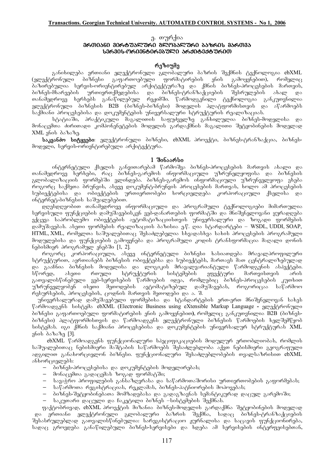### ു. თურქია

### **a600050 a06675260 a20652760 658601 a56035 ᲡᲔᲠᲕᲘᲡ-ᲝᲠᲘᲔᲜᲢᲘᲠᲔᲑᲣᲚᲘ ᲐᲠᲥᲘᲢᲔᲥᲢᲣᲠᲘᲗ**

# რეზიუმე

განიხილება ერთიანი ელექტრონული გლობალური ბაზრის შექმნის ტექნოლოგია <mark>ebXML</mark><br>რონული ბიზნესი გაფართოებული ფორმატირების ენის გამოყენებით), რომელიც (ელექტრონული ბიზნესი გაფართოებული ფორმატირების ენის გამოყენებით), . ბაზირუბულია სერვის-ორიენტირებულ არქიტექტურაზე და ქმნის ბიზნეს-პროცესების მართვის,<br>ბიზნეს-მხარეების ურთიერთქმედებისა და ბიზნეს-ტრანზაქციების შესრულების ახალ და ურთიერთქმედებისა და ბიზნეს-ტრანზაქციების შესრულების ახალ და თანამედროვე ხერხებს განაწილებულ რეჟიმში. წარმოდგენილი ტექნოლოგია განკუთვნილია ელექტრონული ბიზნესის B2B (ბიზნეს-ბიზნესი) მოდელის პლატფორმისთვის და აწარმოებს ്ნქშიანი პროცესებისა და დოკუმენტების უნივერსალური სტრუქტურის რეალიზაციას.

ა ათვევილია აღადით და ადა და და და ადა ადა ადა ათვევადა.<br>სტატიაში, პრაქტიკული მაგალითის საფუძველზე განხილულია პიზნეს-მოდელისა მონაცემთა ძირითადი კომპონენეტების მოდელის გარდაქმნის მაგალითი შეტყობინების მოდელად  $XML<sub>l</sub>$  and  $\delta$  and  $\delta$ <sub>3</sub>.

**<b>საკვანძო სიტყვები**: ელექტრონული ბიზნესი, ebXML პროექტი, ბიზნეს-ტრანზაქცია, ბიზნესმოდელი, სერვის-ორიენტირებული არქიტექტურა.

### 1 შინაარსი

ინტერნეტული ქსელის განვითარებამ წარმოშვა ბიზნეს-პროცესების მართვის ახალი და თანამედროვე ხერხები, რაც ბიზნეს-გარემოს ინფორმაციული უზრუნელყოფისა და ბიზნესის გლობალიზაციის ფორმებში ვლინდება. ბიზნეს-გარემოს ინფორმაციული უზრუნველყოფა ეხება როგორც საქმეთა ბრუნვის, ასევე დოკუმენტ-ბრუნვის პროცესების მართვას, ხოლო ამ პროცესების სუბიექტებისა და ობიექტების ურთიერთობები ხორციელდება კორპორაციული ქსელისა და ინტერნეტ-ბიზნესის საშუალებებით.

\_<br>დღესდღეობით თანამედროვე ინფორმაციული და პროგრამული ტექნოლოგიები მიმართულია სერვისული ფუნქციების დამუშავებისკენ ვებ-დანართების ფორმატში და მნიშვნელოვანი ყურადღება ექცევა საპრობლემო ობიექტების ავტომატიზაციისთვის უნივერსალური და ზოგადი ფორმების დამუშავებას. ასეთი ფორმების რეალიზაციის ბაზისია ე.წ. ღია სტარდარტები – WSDL, UDDI, SOAP, HTML, XML, რომელთა საშუალებითაც შესაძლებელია სხვადასხვა სახის პროცესების პროგრამული მოდულებისა და ფუნქციების გამოყენება და პროგრამული კოდის ტრანსფორშაცია მაღალი დონის  $6$ ებისმიერ პროგრამულ ენებში  $[1, 2]$ .

როგორც კორპორაციული, ასევე ინტერნეტული ბიზნესი ხასიათდება მრავალპროფილური სტრუქტურით, აერთიანებს ბიზნესის ობიექტებსა და სუბიექტებს, მართავს მათ ცენტრალიზებულად \_და გააჩნია ბიზნესის მოდელისა და ლოგიკის მრავალვარიანტული წარმოდგუნის ასპექტები.<br>სწორედ, ასეთი რთული სტრუქტურის სისტემების ეფექტური მართვისთვის არის სწორედ, ასეთი რთული სტრუქტურის სისტემების ეფექტური მართვისთვის არის გათვალისწინებული ვებ-სერვისების წარმოების იდეა, რომლებიც ბიზნეს-პროცესების კუთხით უზრუნველყობენ ისეთი მეთოდების ავტომატიზებულ დამუშავებას, როგორიცაა საწარმოო resursebis, disposition de conservato da antigona en metodo en metodo. S. S.

უნივერსალურად დამუშავებული ფორმებისა და სტანდარტების ერთ-ერთ მნიშვნელოვან სახეს წარმოადგენს სისტემა ebXML (Electronic Business using eXtensible Markup Language - ელექტრონული <u>პიზნესი გაფართოებული ფორმატირების ენის გამოყენებით), რომელიც განკუთვნილია B2B (ბიზნეს-</u> ბიზნესი) პლატფორმისთვის და წარმოადგენს ელექტრონული ბიზნესის წარმოების ხელშემწყობ სისტემას. იგი ქმნის საქმიანი პროცესებისა და დოკუმენტების უნივერსალურ სტრუქტურას XML  $a$ <sub>1</sub>60 $b$   $b$ <sup>3</sup> $b$ <sup>3</sup> $b$ <sub>1</sub> [3].

ebXML წარმოადგენს ფუნქციონალური სპეციფიკაციების მოდულურ ერთობლიობას, რომლის საშუალებითაც ნებისმიერი მაშტაბის საწარმოებს შესაძლებლობა აქვთ ნებისმიერი გეოგრაფული ადგილით განახორციელონ ბიზნესი. ფუნქციონალური შესაძლებლობების თვალსაზრისით ebXML ანხორციელებს:

- პიზნეს-პროცესებისა და დოკუმენტების მოდელირებას;
- $\theta$  monacemas  $\frac{1}{2}$  and  $\frac{1}{2}$  and  $\frac{1}{2}$  and  $\frac{1}{2}$  and  $\frac{1}{2}$  and  $\frac{1}{2}$  and  $\frac{1}{2}$  and  $\frac{1}{2}$  and  $\frac{1}{2}$  and  $\frac{1}{2}$  and  $\frac{1}{2}$  and  $\frac{1}{2}$  and  $\frac{1}{2}$  and  $\frac{1}{2}$  and  $\frac{1}{2}$
- სავაჭრო პროფილების განსაზღვრასა და საწარმოთაშორისი ურთიერთობების გაფორმებას;
- საწარმოთა რეგისტრაციას, რეკლამას, ბიზნეს-პატნიორების მოპოვებას;
- \_ ბიზნეს-შეტყობინებათა მომზადებასა\_და\_გადაგზავნას\_სემანტიკურად\_დაცულ\_გარემოში;
- საკუთარი დაცული და ჩაკეტილი ბიზნეს –სისტემების შექმნას.

ფაქტობრივად, ebXML პროექტის მიზანია ბიზნეს-მოდელის გარდაქმნა შეტყობინების მოდელად და ერთიანი ელექტრონული გლობალური ბაზრის შექმნა, სადაც ბიზნეს-ტრანზაქციების შესასრულებლად გათვალისწინებულია: სარეგისტრაციო ჟურნალისა და საცავის ფუნქციონირება, სადაც გროვდება განაწილებული ბიზნეს-სერვისები და ხდება ამ სერვისების ინტერფეისებთან,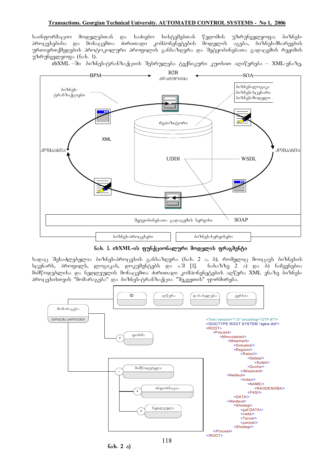### **Transactions. Georgian Technical University. AUTOMATED CONTROL SYSTEMS - No 1, 2006**

საინფორმაციო მოდელებთან და საძიებო სისტემებთან წვდომის უზრუნველყოფა; ბიზნესპროცუსებისა და მონაცემთა პირითადი კომპონენეტების მოდელის აგება, ბიზნეს-მხარეების ურთიერთქმედების პროტოკოლური პროფილის განსაზღვრა და შეტყობინებათა გადაცემის რეჟიმის უზრუნველყოფა (ნახ. 1).

.<br>ebXML –ში ბიზნეს-ტრანზაქციის შესრულება ტექნიკური კუთხით აღიწერება – XML-ენაზე,



**b**sb. 1. ebXML-ის ფუნქციონალური მოდელის ფრაგმენტი

სადაც შესაძლებელია ბიზნეს-პროცესის განსაზღვრა (ნახ. 2 ა, ბ), რომელიც მოიცავს ბიზნესის სცენარს, პროფილს, ლოგიკას, დოკუმენტებს და ა.შ [1]. ნახაზზე 2 ა) და ბ) ნაჩვენებია მიმწოდებლისა და ნედლეულის მონაცემთა ძირითადი კომპონენეტების აღწერა XML ენაზე ბიზნესპროცესისთვის "მომარაგება" და ბიზნეს-ტრანზაქცია "შეკვეთის" ფორმირება.



**nax. 2 a)**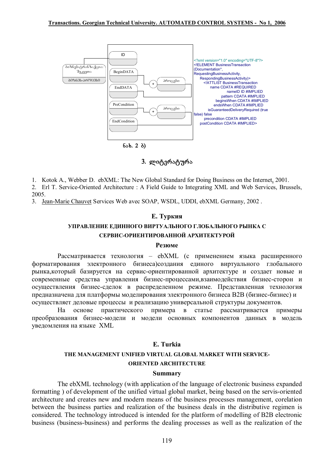

# 3. ლიტერატურა

1. Kotok A., Webber D. ebXML: The New Global Standard for Doing Business on the Internet, 2001.

2. Erl T. Service-Oriented Architecture : A Field Guide to Integrating XML and Web Services, Brussels, 2005.

3. Jean-Marie Chauvet Services Web avec SOAP, WSDL, UDDI, ebXML Germany, 2002.

# Е. Туркия

# УПРАВЛЕНИЕ ЕДИННОГО ВИРТУАЛЬНОГО ГЛОБАЛЬНОГО РЫНКА С СЕРВИС-ОРИЕНТИРОВАННОЙ АРХИТЕКТУРОЙ

### Резюме

Рассматривается технология - ebXML (с применением языка расширенного форматирования электронного бизнеса)создания единого виртуального глобального рынка, который базируется на сервис-ориентированной архитектуре и создает новые и современные средства управления бизнес-процессами, взаимодействия бизнес-сторон и осуществления бизнес-сделок в распределенном режиме. Представленная технология предназначена для платформы моделирования электронного бизнеса В2В (бизнес-бизнес) и осуществляет деловые процессы и реализацию универсальной структуры документов.

практического примера в статье рассматривается Ha основе примеры преобразования бизнес-модели и модели основных компонентов данных в модель уведомления на языке XML

# E. Turkia

# THE MANAGEMENT UNIFIED VIRTUAL GLOBAL MARKET WITH SERVICE-

# **ORIENTED ARCHITECTURE**

### **Summary**

The ebXML technology (with application of the language of electronic business expanded formatting) of development of the unified virtual global market, being based on the servis-oriented architecture and creates new and modern means of the business processes management, corelation between the business parties and realization of the business deals in the distributive regimen is considered. The technology introduced is intended for the platform of modelling of B2B electronic business (business-business) and performs the dealing processes as well as the realization of the